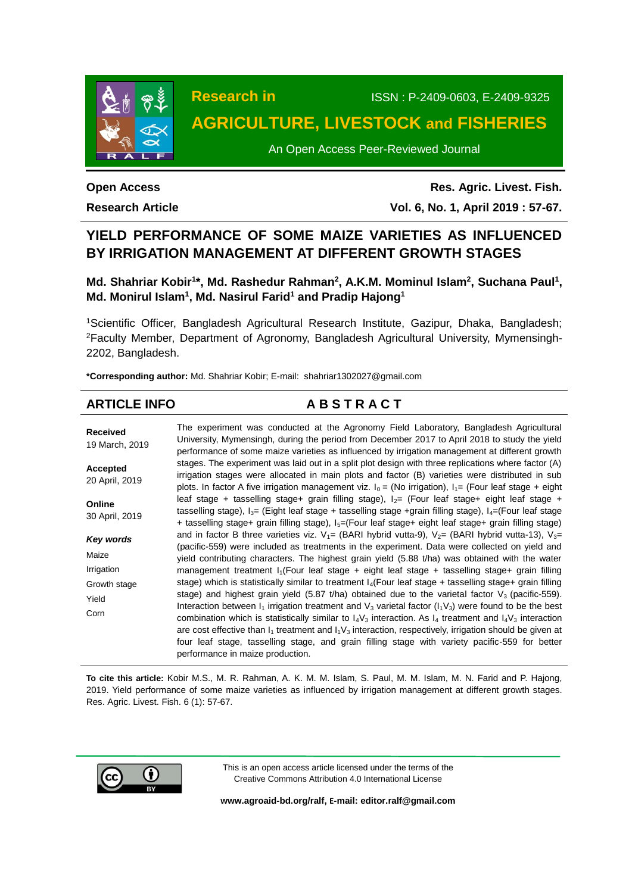

**Research in** ISSN : P-2409-0603, E-2409-9325

# **AGRICULTURE, LIVESTOCK and FISHERIES**

An Open Access Peer-Reviewed Journal

# **Open Access**

**Research Article**

**Res. Agric. Livest. Fish. Vol. 6, No. 1, April 2019 : 57-67.**

# **YIELD PERFORMANCE OF SOME MAIZE VARIETIES AS INFLUENCED BY IRRIGATION MANAGEMENT AT DIFFERENT GROWTH STAGES**

Md. Shahriar Kobir<sup>1\*</sup>, Md. Rashedur Rahman<sup>2</sup>, A.K.M. Mominul Islam<sup>2</sup>, Suchana Paul<sup>1</sup>, **Md. Monirul Islam<sup>1</sup> , Md. Nasirul Farid<sup>1</sup> and Pradip Hajong<sup>1</sup>**

<sup>1</sup>Scientific Officer, Bangladesh Agricultural Research Institute, Gazipur, Dhaka, Bangladesh; 2Faculty Member, Department of Agronomy, Bangladesh Agricultural University, Mymensingh-2202, Bangladesh.

**\*Corresponding author:** Md. Shahriar Kobir; E-mail: [shahriar1302027@gmail.com](mailto:%20shahriar1302027@gmail.com) 

# **ARTICLE INFO A B S T R A C T**

| <b>Received</b><br>19 March, 2019 | The experiment was conducted at the Agronomy Field Laboratory, Bangladesh Agricultural<br>University, Mymensingh, during the period from December 2017 to April 2018 to study the yield<br>performance of some maize varieties as influenced by irrigation management at different growth                                           |
|-----------------------------------|-------------------------------------------------------------------------------------------------------------------------------------------------------------------------------------------------------------------------------------------------------------------------------------------------------------------------------------|
| Accepted<br>20 April, 2019        | stages. The experiment was laid out in a split plot design with three replications where factor (A)<br>irrigation stages were allocated in main plots and factor (B) varieties were distributed in sub<br>plots. In factor A five irrigation management viz. $I_0 = (No\;irrigation)$ , $I_1 = (Four\; leader + eight\;$            |
| Online<br>30 April, 2019          | leaf stage + tasselling stage+ grain filling stage), $l_{2}$ = (Four leaf stage+ eight leaf stage +<br>tasselling stage), $I_{3}$ (Eight leaf stage + tasselling stage +grain filling stage), $I_{4}$ (Four leaf stage<br>+ tasselling stage+ grain filling stage), $I_5$ =(Four leaf stage+ eight leaf stage+ grain filling stage) |
| Key words                         | and in factor B three varieties viz. $V_1$ (BARI hybrid vutta-9), $V_2$ (BARI hybrid vutta-13), $V_3$ =                                                                                                                                                                                                                             |
| Maize                             | (pacific-559) were included as treatments in the experiment. Data were collected on yield and                                                                                                                                                                                                                                       |
| Irrigation                        | yield contributing characters. The highest grain yield (5.88 t/ha) was obtained with the water                                                                                                                                                                                                                                      |
|                                   | management treatment $I_1$ (Four leaf stage + eight leaf stage + tasselling stage+ grain filling                                                                                                                                                                                                                                    |
| Growth stage                      | stage) which is statistically similar to treatment $I_4$ (Four leaf stage + tasselling stage+ grain filling                                                                                                                                                                                                                         |
| Yield                             | stage) and highest grain yield (5.87 t/ha) obtained due to the varietal factor $V_3$ (pacific-559).                                                                                                                                                                                                                                 |
| Corn                              | Interaction between $I_1$ irrigation treatment and $V_3$ varietal factor ( $I_1V_3$ ) were found to be the best<br>combination which is statistically similar to $14V_3$ interaction. As $14$ treatment and $14V_3$ interaction                                                                                                     |
|                                   | are cost effective than $I_1$ treatment and $I_1V_3$ interaction, respectively, irrigation should be given at                                                                                                                                                                                                                       |
|                                   | four leaf stage, tasselling stage, and grain filling stage with variety pacific-559 for better                                                                                                                                                                                                                                      |
|                                   | performance in maize production.                                                                                                                                                                                                                                                                                                    |

**To cite this article:** Kobir M.S., M. R. Rahman, A. K. M. M. Islam, S. Paul, M. M. Islam, M. N. Farid and P. Hajong, 2019. Yield performance of some maize varieties as influenced by irrigation management at different growth stages. Res. Agric. Livest. Fish. 6 (1): 57-67.



This is an open access article licensed under the terms of the Creative Commons Attribution 4.0 International License

**[www.agroaid-bd.org/ralf,](http://www.agroaid-bd.org/ralf) E-mail[: editor.ralf@gmail.com](mailto:editor.ralf@gmail.com)**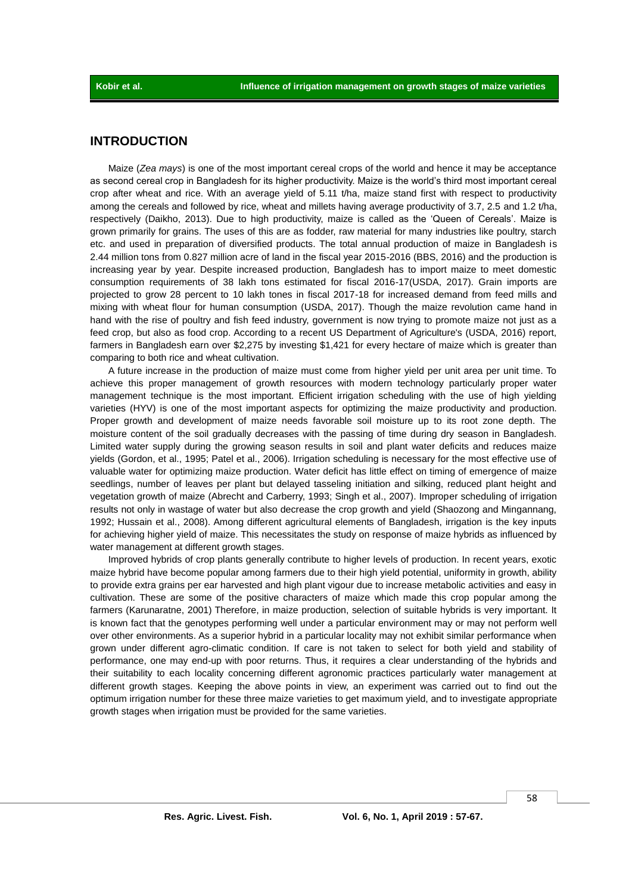## **INTRODUCTION**

Maize (*Zea mays*) is one of the most important cereal crops of the world and hence it may be acceptance as second cereal crop in Bangladesh for its higher productivity. Maize is the world's third most important cereal crop after wheat and rice. With an average yield of 5.11 t/ha, maize stand first with respect to productivity among the cereals and followed by rice, wheat and millets having average productivity of 3.7, 2.5 and 1.2 t/ha, respectively (Daikho, 2013). Due to high productivity, maize is called as the 'Queen of Cereals'. Maize is grown primarily for grains. The uses of this are as fodder, raw material for many industries like poultry, starch etc. and used in preparation of diversified products. The total annual production of maize in Bangladesh is 2.44 million tons from 0.827 million acre of land in the fiscal year 2015-2016 (BBS, 2016) and the production is increasing year by year. Despite increased production, Bangladesh has to import maize to meet domestic consumption requirements of 38 lakh tons estimated for fiscal 2016-17(USDA, 2017). Grain imports are projected to grow 28 percent to 10 lakh tones in fiscal 2017-18 for increased demand from feed mills and mixing with wheat flour for human consumption (USDA, 2017). Though the maize revolution came hand in hand with the rise of poultry and fish feed industry, government is now trying to promote maize not just as a feed crop, but also as food crop. According to a recent US Department of Agriculture's (USDA, 2016) report, farmers in Bangladesh earn over \$2,275 by investing \$1,421 for every hectare of maize which is greater than comparing to both rice and wheat cultivation.

A future increase in the production of maize must come from higher yield per unit area per unit time. To achieve this proper management of growth resources with modern technology particularly proper water management technique is the most important. Efficient irrigation scheduling with the use of high yielding varieties (HYV) is one of the most important aspects for optimizing the maize productivity and production. Proper growth and development of maize needs favorable soil moisture up to its root zone depth. The moisture content of the soil gradually decreases with the passing of time during dry season in Bangladesh. Limited water supply during the growing season results in soil and plant water deficits and reduces maize yields (Gordon, et al., 1995; Patel et al., 2006). Irrigation scheduling is necessary for the most effective use of valuable water for optimizing maize production. Water deficit has little effect on timing of emergence of maize seedlings, number of leaves per plant but delayed tasseling initiation and silking, reduced plant height and vegetation growth of maize (Abrecht and Carberry, 1993; Singh et al., 2007). Improper scheduling of irrigation results not only in wastage of water but also decrease the crop growth and yield (Shaozong and Mingannang, 1992; Hussain et al., 2008). Among different agricultural elements of Bangladesh, irrigation is the key inputs for achieving higher yield of maize. This necessitates the study on response of maize hybrids as influenced by water management at different growth stages.

Improved hybrids of crop plants generally contribute to higher levels of production. In recent years, exotic maize hybrid have become popular among farmers due to their high yield potential, uniformity in growth, ability to provide extra grains per ear harvested and high plant vigour due to increase metabolic activities and easy in cultivation. These are some of the positive characters of maize which made this crop popular among the farmers (Karunaratne, 2001) Therefore, in maize production, selection of suitable hybrids is very important. It is known fact that the genotypes performing well under a particular environment may or may not perform well over other environments. As a superior hybrid in a particular locality may not exhibit similar performance when grown under different agro-climatic condition. If care is not taken to select for both yield and stability of performance, one may end-up with poor returns. Thus, it requires a clear understanding of the hybrids and their suitability to each locality concerning different agronomic practices particularly water management at different growth stages. Keeping the above points in view, an experiment was carried out to find out the optimum irrigation number for these three maize varieties to get maximum yield, and to investigate appropriate growth stages when irrigation must be provided for the same varieties.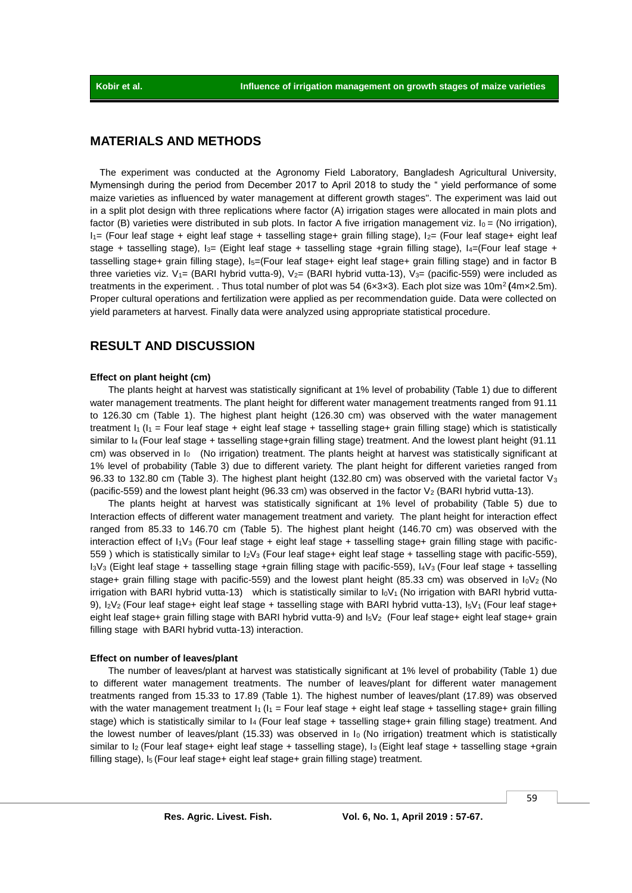## **MATERIALS AND METHODS**

The experiment was conducted at the Agronomy Field Laboratory, Bangladesh Agricultural University, Mymensingh during the period from December 2017 to April 2018 to study the " yield performance of some maize varieties as influenced by water management at different growth stages''. The experiment was laid out in a split plot design with three replications where factor (A) irrigation stages were allocated in main plots and factor (B) varieties were distributed in sub plots. In factor A five irrigation management viz.  $I_0 = (No\;irigation)$ , I1= (Four leaf stage + eight leaf stage + tasselling stage+ grain filling stage), I2= (Four leaf stage+ eight leaf stage + tasselling stage), I<sub>3</sub>= (Eight leaf stage + tasselling stage +grain filling stage), I<sub>4</sub>=(Four leaf stage + tasselling stage+ grain filling stage), I<sub>5</sub>=(Four leaf stage+ eight leaf stage+ grain filling stage) and in factor B three varieties viz. V<sub>1</sub>= (BARI hybrid vutta-9), V<sub>2</sub>= (BARI hybrid vutta-13), V<sub>3</sub>= (pacific-559) were included as treatments in the experiment. . Thus total number of plot was 54 (6×3×3). Each plot size was 10m<sup>2</sup>**(**4m×2.5m). Proper cultural operations and fertilization were applied as per recommendation guide. Data were collected on yield parameters at harvest. Finally data were analyzed using appropriate statistical procedure.

## **RESULT AND DISCUSSION**

#### **Effect on plant height (cm)**

The plants height at harvest was statistically significant at 1% level of probability (Table 1) due to different water management treatments. The plant height for different water management treatments ranged from 91.11 to 126.30 cm (Table 1). The highest plant height (126.30 cm) was observed with the water management treatment  $I_1$  ( $I_1$  = Four leaf stage + eight leaf stage + tasselling stage+ grain filling stage) which is statistically similar to I4 (Four leaf stage + tasselling stage+grain filling stage) treatment. And the lowest plant height (91.11 cm) was observed in I<sub>0</sub> (No irrigation) treatment. The plants height at harvest was statistically significant at 1% level of probability (Table 3) due to different variety. The plant height for different varieties ranged from 96.33 to 132.80 cm (Table 3). The highest plant height (132.80 cm) was observed with the varietal factor  $V_3$ (pacific-559) and the lowest plant height (96.33 cm) was observed in the factor  $V_2$  (BARI hybrid vutta-13).

The plants height at harvest was statistically significant at 1% level of probability (Table 5) due to Interaction effects of different water management treatment and variety. The plant height for interaction effect ranged from 85.33 to 146.70 cm (Table 5). The highest plant height (146.70 cm) was observed with the interaction effect of  $1/Var$  (Four leaf stage + eight leaf stage + tasselling stage+ grain filling stage with pacific-559) which is statistically similar to  $12V_3$  (Four leaf stage+ eight leaf stage + tasselling stage with pacific-559), I3V<sup>3</sup> (Eight leaf stage + tasselling stage +grain filling stage with pacific-559), I4V3 (Four leaf stage + tasselling stage+ grain filling stage with pacific-559) and the lowest plant height (85.33 cm) was observed in  $I_0V_2$  (No irrigation with BARI hybrid vutta-13) which is statistically similar to  $10V<sub>1</sub>$  (No irrigation with BARI hybrid vutta-9),  $I_2V_2$  (Four leaf stage+ eight leaf stage + tasselling stage with BARI hybrid vutta-13),  $I_5V_1$  (Four leaf stage+ eight leaf stage+ grain filling stage with BARI hybrid vutta-9) and I<sub>5</sub>V<sub>2</sub> (Four leaf stage+ eight leaf stage+ grain filling stage with BARI hybrid vutta-13) interaction.

#### **Effect on number of leaves/plant**

The number of leaves/plant at harvest was statistically significant at 1% level of probability (Table 1) due to different water management treatments. The number of leaves/plant for different water management treatments ranged from 15.33 to 17.89 (Table 1). The highest number of leaves/plant (17.89) was observed with the water management treatment  $I_1 (I_1 = Four$  leaf stage + eight leaf stage + tasselling stage+ grain filling stage) which is statistically similar to I<sub>4</sub> (Four leaf stage + tasselling stage+ grain filling stage) treatment. And the lowest number of leaves/plant (15.33) was observed in  $I_0$  (No irrigation) treatment which is statistically similar to I<sub>2</sub> (Four leaf stage+ eight leaf stage + tasselling stage), I<sub>3</sub> (Eight leaf stage + tasselling stage +grain filling stage), I<sub>5</sub> (Four leaf stage+ eight leaf stage+ grain filling stage) treatment.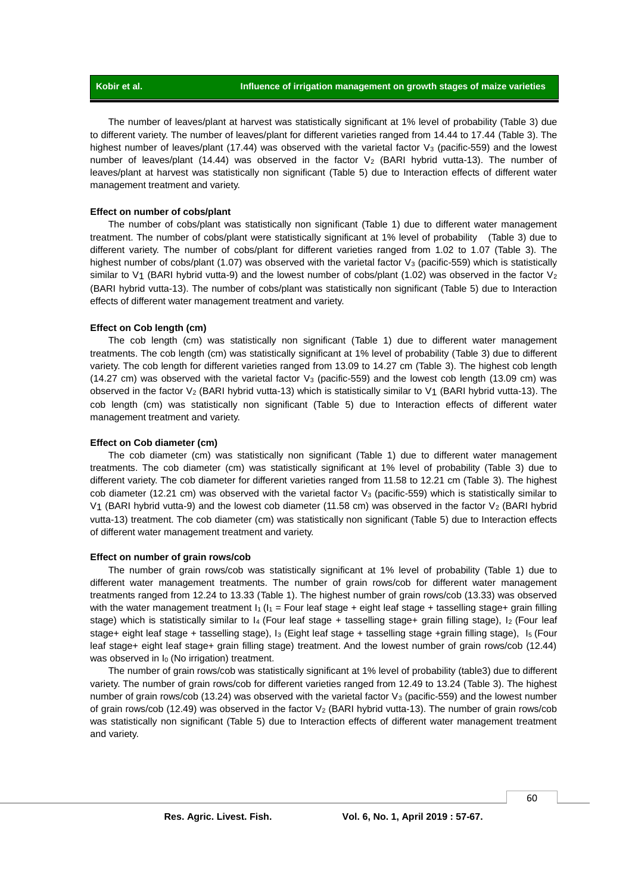The number of leaves/plant at harvest was statistically significant at 1% level of probability (Table 3) due to different variety. The number of leaves/plant for different varieties ranged from 14.44 to 17.44 (Table 3). The highest number of leaves/plant (17.44) was observed with the varietal factor  $V_3$  (pacific-559) and the lowest number of leaves/plant (14.44) was observed in the factor  $V_2$  (BARI hybrid vutta-13). The number of leaves/plant at harvest was statistically non significant (Table 5) due to Interaction effects of different water management treatment and variety.

#### **Effect on number of cobs/plant**

The number of cobs/plant was statistically non significant (Table 1) due to different water management treatment. The number of cobs/plant were statistically significant at 1% level of probability (Table 3) due to different variety. The number of cobs/plant for different varieties ranged from 1.02 to 1.07 (Table 3). The highest number of cobs/plant (1.07) was observed with the varietal factor  $V_3$  (pacific-559) which is statistically similar to V<sub>1</sub> (BARI hybrid vutta-9) and the lowest number of cobs/plant (1.02) was observed in the factor V<sub>2</sub> (BARI hybrid vutta-13). The number of cobs/plant was statistically non significant (Table 5) due to Interaction effects of different water management treatment and variety.

#### **Effect on Cob length (cm)**

The cob length (cm) was statistically non significant (Table 1) due to different water management treatments. The cob length (cm) was statistically significant at 1% level of probability (Table 3) due to different variety. The cob length for different varieties ranged from 13.09 to 14.27 cm (Table 3). The highest cob length (14.27 cm) was observed with the varietal factor  $V_3$  (pacific-559) and the lowest cob length (13.09 cm) was observed in the factor  $V_2$  (BARI hybrid vutta-13) which is statistically similar to  $V_1$  (BARI hybrid vutta-13). The cob length (cm) was statistically non significant (Table 5) due to Interaction effects of different water management treatment and variety.

#### **Effect on Cob diameter (cm)**

The cob diameter (cm) was statistically non significant (Table 1) due to different water management treatments. The cob diameter (cm) was statistically significant at 1% level of probability (Table 3) due to different variety. The cob diameter for different varieties ranged from 11.58 to 12.21 cm (Table 3). The highest cob diameter (12.21 cm) was observed with the varietal factor  $V_3$  (pacific-559) which is statistically similar to V<sub>1</sub> (BARI hybrid vutta-9) and the lowest cob diameter (11.58 cm) was observed in the factor V<sub>2</sub> (BARI hybrid vutta-13) treatment. The cob diameter (cm) was statistically non significant (Table 5) due to Interaction effects of different water management treatment and variety.

#### **Effect on number of grain rows/cob**

The number of grain rows/cob was statistically significant at 1% level of probability (Table 1) due to different water management treatments. The number of grain rows/cob for different water management treatments ranged from 12.24 to 13.33 (Table 1). The highest number of grain rows/cob (13.33) was observed with the water management treatment  $I_1$  ( $I_1$  = Four leaf stage + eight leaf stage + tasselling stage+ grain filling stage) which is statistically similar to I4 (Four leaf stage + tasselling stage+ grain filling stage), I2 (Four leaf stage+ eight leaf stage + tasselling stage), I<sub>3</sub> (Eight leaf stage + tasselling stage +grain filling stage), I<sub>5</sub> (Four leaf stage+ eight leaf stage+ grain filling stage) treatment. And the lowest number of grain rows/cob (12.44) was observed in I<sub>0</sub> (No irrigation) treatment.

The number of grain rows/cob was statistically significant at 1% level of probability (table3) due to different variety. The number of grain rows/cob for different varieties ranged from 12.49 to 13.24 (Table 3). The highest number of grain rows/cob (13.24) was observed with the varietal factor  $V_3$  (pacific-559) and the lowest number of grain rows/cob (12.49) was observed in the factor  $V_2$  (BARI hybrid vutta-13). The number of grain rows/cob was statistically non significant (Table 5) due to Interaction effects of different water management treatment and variety.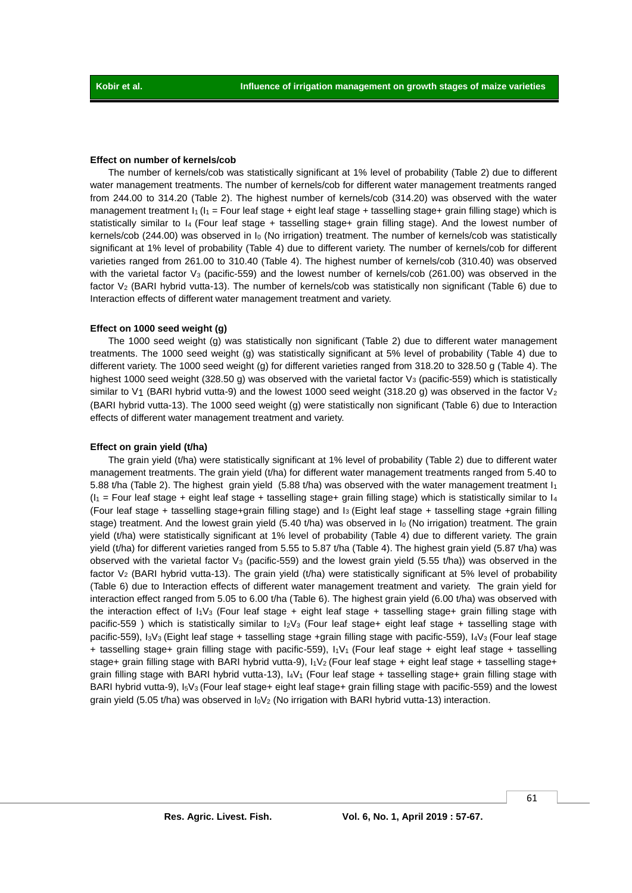#### **Effect on number of kernels/cob**

The number of kernels/cob was statistically significant at 1% level of probability (Table 2) due to different water management treatments. The number of kernels/cob for different water management treatments ranged from 244.00 to 314.20 (Table 2). The highest number of kernels/cob (314.20) was observed with the water management treatment  $I_1$  ( $I_1$  = Four leaf stage + eight leaf stage + tasselling stage+ grain filling stage) which is statistically similar to I4 (Four leaf stage + tasselling stage+ grain filling stage). And the lowest number of kernels/cob (244.00) was observed in I<sub>0</sub> (No irrigation) treatment. The number of kernels/cob was statistically significant at 1% level of probability (Table 4) due to different variety. The number of kernels/cob for different varieties ranged from 261.00 to 310.40 (Table 4). The highest number of kernels/cob (310.40) was observed with the varietal factor V<sub>3</sub> (pacific-559) and the lowest number of kernels/cob (261.00) was observed in the factor  $V_2$  (BARI hybrid vutta-13). The number of kernels/cob was statistically non significant (Table 6) due to Interaction effects of different water management treatment and variety.

#### **Effect on 1000 seed weight (g)**

The 1000 seed weight (g) was statistically non significant (Table 2) due to different water management treatments. The 1000 seed weight (g) was statistically significant at 5% level of probability (Table 4) due to different variety. The 1000 seed weight (g) for different varieties ranged from 318.20 to 328.50 g (Table 4). The highest 1000 seed weight (328.50 g) was observed with the varietal factor  $V_3$  (pacific-559) which is statistically similar to V<sub>1</sub> (BARI hybrid vutta-9) and the lowest 1000 seed weight (318.20 g) was observed in the factor V<sub>2</sub> (BARI hybrid vutta-13). The 1000 seed weight (g) were statistically non significant (Table 6) due to Interaction effects of different water management treatment and variety.

#### **Effect on grain yield (t/ha)**

The grain yield (t/ha) were statistically significant at 1% level of probability (Table 2) due to different water management treatments. The grain yield (t/ha) for different water management treatments ranged from 5.40 to 5.88 t/ha (Table 2). The highest grain yield (5.88 t/ha) was observed with the water management treatment I<sub>1</sub>  $(I_1 = Four$  leaf stage + eight leaf stage + tasselling stage+ grain filling stage) which is statistically similar to  $I_4$ (Four leaf stage + tasselling stage+grain filling stage) and I3 (Eight leaf stage + tasselling stage +grain filling stage) treatment. And the lowest grain yield (5.40 t/ha) was observed in I<sub>0</sub> (No irrigation) treatment. The grain yield (t/ha) were statistically significant at 1% level of probability (Table 4) due to different variety. The grain yield (t/ha) for different varieties ranged from 5.55 to 5.87 t/ha (Table 4). The highest grain yield (5.87 t/ha) was observed with the varietal factor  $V_3$  (pacific-559) and the lowest grain yield (5.55 t/ha)) was observed in the factor V<sub>2</sub> (BARI hybrid vutta-13). The grain yield (t/ha) were statistically significant at 5% level of probability (Table 6) due to Interaction effects of different water management treatment and variety. The grain yield for interaction effect ranged from 5.05 to 6.00 t/ha (Table 6). The highest grain yield (6.00 t/ha) was observed with the interaction effect of  $I_1V_3$  (Four leaf stage + eight leaf stage + tasselling stage+ grain filling stage with pacific-559) which is statistically similar to  $12V_3$  (Four leaf stage+ eight leaf stage + tasselling stage with pacific-559), I<sub>3</sub>V<sub>3</sub> (Eight leaf stage + tasselling stage +grain filling stage with pacific-559), I<sub>4</sub>V<sub>3</sub> (Four leaf stage + tasselling stage+ grain filling stage with pacific-559), I1V1 (Four leaf stage + eight leaf stage + tasselling stage+ grain filling stage with BARI hybrid vutta-9),  $I_1V_2$  (Four leaf stage + eight leaf stage + tasselling stage+ grain filling stage with BARI hybrid vutta-13),  $14V_1$  (Four leaf stage + tasselling stage+ grain filling stage with BARI hybrid vutta-9), I5V3 (Four leaf stage+ eight leaf stage+ grain filling stage with pacific-559) and the lowest grain yield (5.05 t/ha) was observed in  $10V<sub>2</sub>$  (No irrigation with BARI hybrid vutta-13) interaction.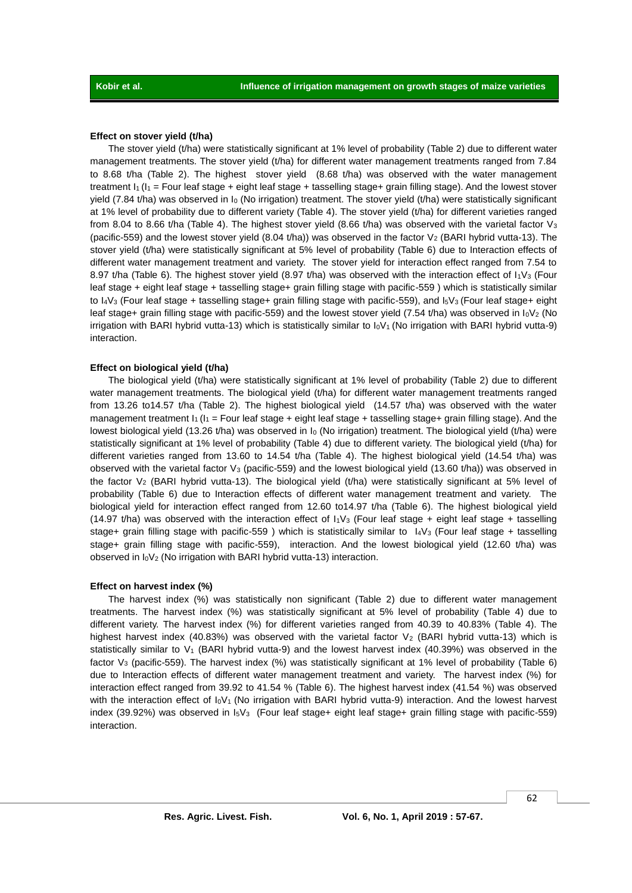#### **Effect on stover yield (t/ha)**

The stover vield (t/ha) were statistically significant at 1% level of probability (Table 2) due to different water management treatments. The stover yield (t/ha) for different water management treatments ranged from 7.84 to 8.68 t/ha (Table 2). The highest stover yield (8.68 t/ha) was observed with the water management treatment  $I_1$  ( $I_1$  = Four leaf stage + eight leaf stage + tasselling stage+ grain filling stage). And the lowest stover yield (7.84 t/ha) was observed in  $I_0$  (No irrigation) treatment. The stover yield (t/ha) were statistically significant at 1% level of probability due to different variety (Table 4). The stover yield (t/ha) for different varieties ranged from 8.04 to 8.66 t/ha (Table 4). The highest stover yield (8.66 t/ha) was observed with the varietal factor  $V_3$ (pacific-559) and the lowest stover yield (8.04 t/ha)) was observed in the factor  $V_2$  (BARI hybrid vutta-13). The stover yield (t/ha) were statistically significant at 5% level of probability (Table 6) due to Interaction effects of different water management treatment and variety. The stover yield for interaction effect ranged from 7.54 to 8.97 t/ha (Table 6). The highest stover yield (8.97 t/ha) was observed with the interaction effect of  $1_1V_3$  (Four leaf stage + eight leaf stage + tasselling stage+ grain filling stage with pacific-559 ) which is statistically similar to  $14V_3$  (Four leaf stage + tasselling stage+ grain filling stage with pacific-559), and  $15V_3$  (Four leaf stage+ eight leaf stage+ grain filling stage with pacific-559) and the lowest stover yield (7.54 t/ha) was observed in  $I_0V_2$  (No irrigation with BARI hybrid vutta-13) which is statistically similar to  $1<sub>0</sub>V<sub>1</sub>$  (No irrigation with BARI hybrid vutta-9) interaction.

#### **Effect on biological yield (t/ha)**

The biological yield (t/ha) were statistically significant at 1% level of probability (Table 2) due to different water management treatments. The biological vield (t/ha) for different water management treatments ranged from 13.26 to14.57 t/ha (Table 2). The highest biological yield (14.57 t/ha) was observed with the water management treatment  $I_1$  ( $I_1$  = Four leaf stage + eight leaf stage + tasselling stage+ grain filling stage). And the lowest biological yield (13.26 t/ha) was observed in I<sub>0</sub> (No irrigation) treatment. The biological yield (t/ha) were statistically significant at 1% level of probability (Table 4) due to different variety. The biological yield (t/ha) for different varieties ranged from 13.60 to 14.54 t/ha (Table 4). The highest biological yield (14.54 t/ha) was observed with the varietal factor  $V_3$  (pacific-559) and the lowest biological yield (13.60 t/ha)) was observed in the factor V<sub>2</sub> (BARI hybrid vutta-13). The biological yield (t/ha) were statistically significant at 5% level of probability (Table 6) due to Interaction effects of different water management treatment and variety. The biological yield for interaction effect ranged from 12.60 to14.97 t/ha (Table 6). The highest biological yield (14.97 t/ha) was observed with the interaction effect of  $I_1V_3$  (Four leaf stage + eight leaf stage + tasselling stage+ grain filling stage with pacific-559) which is statistically similar to  $14V_3$  (Four leaf stage + tasselling stage+ grain filling stage with pacific-559), interaction. And the lowest biological yield (12.60 t/ha) was observed in  $I_0V_2$  (No irrigation with BARI hybrid vutta-13) interaction.

#### **Effect on harvest index (%)**

The harvest index (%) was statistically non significant (Table 2) due to different water management treatments. The harvest index (%) was statistically significant at 5% level of probability (Table 4) due to different variety. The harvest index (%) for different varieties ranged from 40.39 to 40.83% (Table 4). The highest harvest index (40.83%) was observed with the varietal factor  $V_2$  (BARI hybrid vutta-13) which is statistically similar to  $V_1$  (BARI hybrid vutta-9) and the lowest harvest index (40.39%) was observed in the factor V<sup>3</sup> (pacific-559). The harvest index (%) was statistically significant at 1% level of probability (Table 6) due to Interaction effects of different water management treatment and variety. The harvest index (%) for interaction effect ranged from 39.92 to 41.54 % (Table 6). The highest harvest index (41.54 %) was observed with the interaction effect of  $I_0V_1$  (No irrigation with BARI hybrid vutta-9) interaction. And the lowest harvest index (39.92%) was observed in I5V3 (Four leaf stage+ eight leaf stage+ grain filling stage with pacific-559) interaction.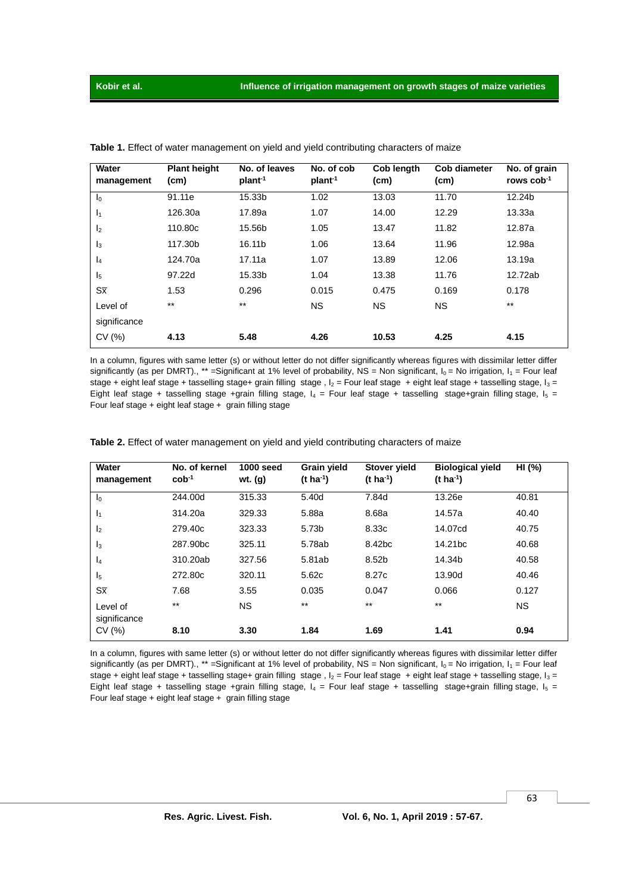| Water<br>management | <b>Plant height</b><br>(cm) | No. of leaves<br>plant <sup>-1</sup> | No. of cob<br>plant <sup>-1</sup> | Cob length<br>(cm) | <b>Cob diameter</b><br>(cm) | No. of grain<br>rows $cob^{-1}$ |
|---------------------|-----------------------------|--------------------------------------|-----------------------------------|--------------------|-----------------------------|---------------------------------|
| I <sub>0</sub>      | 91.11e                      | 15.33b                               | 1.02                              | 13.03              | 11.70                       | 12.24b                          |
| $\mathsf{I}_1$      | 126.30a                     | 17.89a                               | 1.07                              | 14.00              | 12.29                       | 13.33a                          |
| I <sub>2</sub>      | 110,80c                     | 15.56b                               | 1.05                              | 13.47              | 11.82                       | 12.87a                          |
| $\mathsf{I}_3$      | 117.30b                     | 16.11b                               | 1.06                              | 13.64              | 11.96                       | 12.98a                          |
| $I_4$               | 124.70a                     | 17.11a                               | 1.07                              | 13.89              | 12.06                       | 13.19a                          |
| $\mathsf{I}_5$      | 97.22d                      | 15.33b                               | 1.04                              | 13.38              | 11.76                       | 12.72ab                         |
| $S\overline{x}$     | 1.53                        | 0.296                                | 0.015                             | 0.475              | 0.169                       | 0.178                           |
| Level of            | $***$                       | $***$                                | <b>NS</b>                         | <b>NS</b>          | NS.                         | $***$                           |
| significance        |                             |                                      |                                   |                    |                             |                                 |
| CV(%)               | 4.13                        | 5.48                                 | 4.26                              | 10.53              | 4.25                        | 4.15                            |

**Table 1.** Effect of water management on yield and yield contributing characters of maize

In a column, figures with same letter (s) or without letter do not differ significantly whereas figures with dissimilar letter differ significantly (as per DMRT)., \*\* = Significant at 1% level of probability, NS = Non significant,  $I_0$  = No irrigation,  $I_1$  = Four leaf stage + eight leaf stage + tasselling stage+ grain filling stage, I<sub>2</sub> = Four leaf stage + eight leaf stage + tasselling stage, I<sub>3</sub> = Eight leaf stage + tasselling stage +grain filling stage,  $I_4$  = Four leaf stage + tasselling stage+grain filling stage,  $I_5$  = Four leaf stage + eight leaf stage + grain filling stage

| Water<br>management      | No. of kernel<br>$\text{cob}^{-1}$ | <b>1000 seed</b><br>wt. (g) | <b>Grain yield</b><br>(t ha <sup>-1</sup> ) | <b>Stover yield</b><br>(t ha <sup>-1</sup> ) | <b>Biological yield</b><br>$(t \, ha^{-1})$ | HI (%)    |
|--------------------------|------------------------------------|-----------------------------|---------------------------------------------|----------------------------------------------|---------------------------------------------|-----------|
| I <sub>0</sub>           | 244.00d                            | 315.33                      | 5.40d                                       | 7.84d                                        | 13.26e                                      | 40.81     |
| $I_1$                    | 314.20a                            | 329.33                      | 5.88a                                       | 8.68a                                        | 14.57a                                      | 40.40     |
| I <sub>2</sub>           | 279.40c                            | 323.33                      | 5.73b                                       | 8.33c                                        | 14.07cd                                     | 40.75     |
| $\mathsf{I}_3$           | 287.90bc                           | 325.11                      | 5.78ab                                      | 8.42bc                                       | 14.21bc                                     | 40.68     |
| $\mathsf{I}_4$           | 310.20ab                           | 327.56                      | 5.81ab                                      | 8.52b                                        | 14.34b                                      | 40.58     |
| I <sub>5</sub>           | 272.80c                            | 320.11                      | 5.62c                                       | 8.27c                                        | 13.90d                                      | 40.46     |
| $S\overline{x}$          | 7.68                               | 3.55                        | 0.035                                       | 0.047                                        | 0.066                                       | 0.127     |
| Level of<br>significance | $***$                              | <b>NS</b>                   | $***$                                       | $***$                                        | $***$                                       | <b>NS</b> |
| CV(%)                    | 8.10                               | 3.30                        | 1.84                                        | 1.69                                         | 1.41                                        | 0.94      |

**Table 2.** Effect of water management on yield and yield contributing characters of maize

In a column, figures with same letter (s) or without letter do not differ significantly whereas figures with dissimilar letter differ significantly (as per DMRT)., \*\* =Significant at 1% level of probability, NS = Non significant,  $I_0$  = No irrigation,  $I_1$  = Four leaf stage + eight leaf stage + tasselling stage+ grain filling stage,  $I_2$  = Four leaf stage + eight leaf stage + tasselling stage,  $I_3$  = Eight leaf stage + tasselling stage +grain filling stage,  $I_4$  = Four leaf stage + tasselling stage+grain filling stage,  $I_5$  = Four leaf stage + eight leaf stage + grain filling stage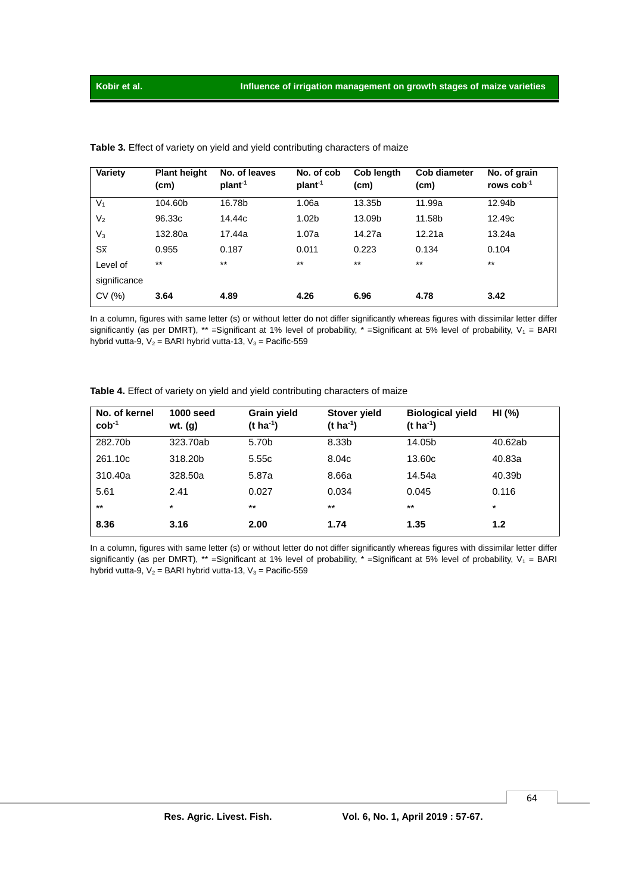| Variety            | <b>Plant height</b><br>(cm) | No. of leaves<br>plant <sup>-1</sup> | No. of cob<br>plant <sup>-1</sup> | Cob length<br>(cm) | <b>Cob diameter</b><br>(cm) | No. of grain<br>rows $cob^{-1}$ |
|--------------------|-----------------------------|--------------------------------------|-----------------------------------|--------------------|-----------------------------|---------------------------------|
| $V_1$              | 104.60b                     | 16.78b                               | 1.06a                             | 13.35b             | 11.99a                      | 12.94b                          |
| V <sub>2</sub>     | 96.33c                      | 14.44c                               | 1.02 <sub>b</sub>                 | 13.09b             | 11.58b                      | 12.49 <sub>c</sub>              |
| $V_3$              | 132.80a                     | 17.44a                               | 1.07a                             | 14.27a             | 12.21a                      | 13.24a                          |
| $S_{\overline{X}}$ | 0.955                       | 0.187                                | 0.011                             | 0.223              | 0.134                       | 0.104                           |
| Level of           | $***$                       | $***$                                | $***$                             | $***$              | $***$                       | $***$                           |
| significance       |                             |                                      |                                   |                    |                             |                                 |
| CV(%)              | 3.64                        | 4.89                                 | 4.26                              | 6.96               | 4.78                        | 3.42                            |

#### **Table 3.** Effect of variety on yield and yield contributing characters of maize

In a column, figures with same letter (s) or without letter do not differ significantly whereas figures with dissimilar letter differ significantly (as per DMRT), \*\* =Significant at 1% level of probability, \* =Significant at 5% level of probability,  $V_1$  = BARI hybrid vutta-9,  $V_2$  = BARI hybrid vutta-13,  $V_3$  = Pacific-559

### **Table 4.** Effect of variety on yield and yield contributing characters of maize

| No. of kernel<br>$\text{cob}^{-1}$ | <b>1000 seed</b><br>wt. $(g)$ | Grain yield<br>(t ha <sup>-1</sup> ) | Stover yield<br>$(t \text{ ha}^{-1})$ | <b>Biological yield</b><br>$(t \text{ ha}^{-1})$ | HI (%)  |
|------------------------------------|-------------------------------|--------------------------------------|---------------------------------------|--------------------------------------------------|---------|
| 282.70b                            | 323.70ab                      | 5.70b                                | 8.33b                                 | 14.05b                                           | 40.62ab |
| 261.10c                            | 318.20b                       | 5.55c                                | 8.04c                                 | 13.60c                                           | 40.83a  |
| 310,40a                            | 328,50a                       | 5.87a                                | 8.66a                                 | 14.54a                                           | 40.39b  |
| 5.61                               | 2.41                          | 0.027                                | 0.034                                 | 0.045                                            | 0.116   |
| $***$                              | $\star$                       | $***$                                | $***$                                 | $***$                                            | *       |
| 8.36                               | 3.16                          | 2.00                                 | 1.74                                  | 1.35                                             | 1.2     |

In a column, figures with same letter (s) or without letter do not differ significantly whereas figures with dissimilar letter differ significantly (as per DMRT), \*\* =Significant at 1% level of probability, \* =Significant at 5% level of probability,  $V_1$  = BARI hybrid vutta-9,  $V_2$  = BARI hybrid vutta-13,  $V_3$  = Pacific-559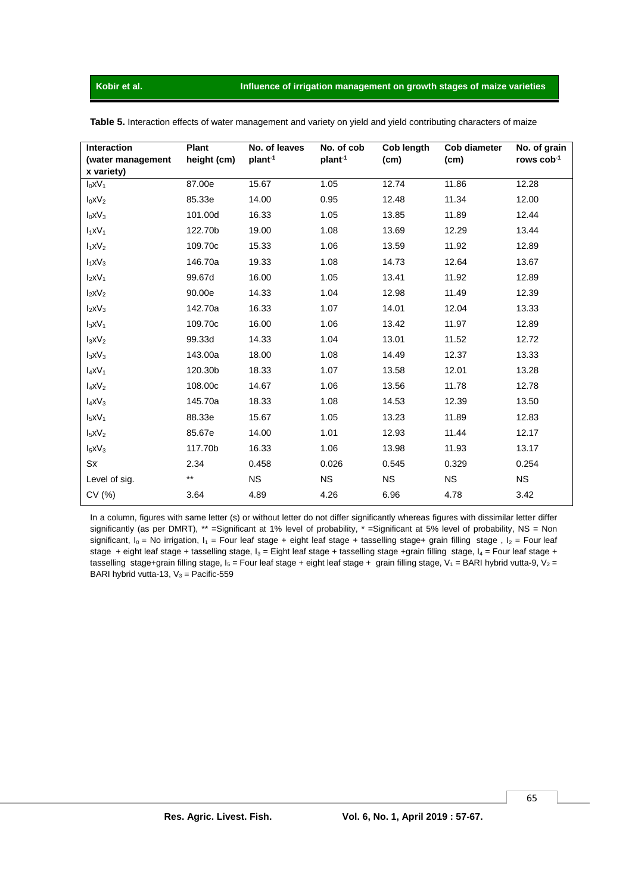| Interaction       | <b>Plant</b> | No. of leaves     | No. of cob          | <b>Cob length</b> | <b>Cob diameter</b> | No. of grain    |
|-------------------|--------------|-------------------|---------------------|-------------------|---------------------|-----------------|
| (water management | height (cm)  | plan <sup>1</sup> | plant <sup>-1</sup> | (cm)              | (cm)                | rows $cob^{-1}$ |
| x variety)        |              |                   |                     |                   |                     |                 |
| $I_0$ x $V_1$     | 87.00e       | 15.67             | 1.05                | 12.74             | 11.86               | 12.28           |
| $I_0$ x $V_2$     | 85.33e       | 14.00             | 0.95                | 12.48             | 11.34               | 12.00           |
| $I_0$ x $V_3$     | 101.00d      | 16.33             | 1.05                | 13.85             | 11.89               | 12.44           |
| $I_1xV_1$         | 122.70b      | 19.00             | 1.08                | 13.69             | 12.29               | 13.44           |
| $I_1xV_2$         | 109.70c      | 15.33             | 1.06                | 13.59             | 11.92               | 12.89           |
| $I_1xV_3$         | 146.70a      | 19.33             | 1.08                | 14.73             | 12.64               | 13.67           |
| $I_2$ x $V_1$     | 99.67d       | 16.00             | 1.05                | 13.41             | 11.92               | 12.89           |
| $I_2$ x $V_2$     | 90.00e       | 14.33             | 1.04                | 12.98             | 11.49               | 12.39           |
| $I_2$ x $V_3$     | 142.70a      | 16.33             | 1.07                | 14.01             | 12.04               | 13.33           |
| $I_3$ x $V_1$     | 109.70c      | 16.00             | 1.06                | 13.42             | 11.97               | 12.89           |
| $I_3xV_2$         | 99.33d       | 14.33             | 1.04                | 13.01             | 11.52               | 12.72           |
| $I_3$ x $V_3$     | 143.00a      | 18.00             | 1.08                | 14.49             | 12.37               | 13.33           |
| $I_4$ x $V_1$     | 120.30b      | 18.33             | 1.07                | 13.58             | 12.01               | 13.28           |
| $I_4$ x $V_2$     | 108.00c      | 14.67             | 1.06                | 13.56             | 11.78               | 12.78           |
| $I_4$ x $V_3$     | 145.70a      | 18.33             | 1.08                | 14.53             | 12.39               | 13.50           |
| $I_5$ x $V_1$     | 88.33e       | 15.67             | 1.05                | 13.23             | 11.89               | 12.83           |
| $I_5$ x $V_2$     | 85.67e       | 14.00             | 1.01                | 12.93             | 11.44               | 12.17           |
| $I_5$ x $V_3$     | 117.70b      | 16.33             | 1.06                | 13.98             | 11.93               | 13.17           |
| $S\overline{x}$   | 2.34         | 0.458             | 0.026               | 0.545             | 0.329               | 0.254           |
| Level of sig.     | $***$        | <b>NS</b>         | <b>NS</b>           | <b>NS</b>         | <b>NS</b>           | <b>NS</b>       |
| CV (%)            | 3.64         | 4.89              | 4.26                | 6.96              | 4.78                | 3.42            |

**Table 5.** Interaction effects of water management and variety on yield and yield contributing characters of maize

In a column, figures with same letter (s) or without letter do not differ significantly whereas figures with dissimilar letter differ significantly (as per DMRT), \*\* =Significant at 1% level of probability, \* =Significant at 5% level of probability, NS = Non significant,  $I_0$  = No irrigation,  $I_1$  = Four leaf stage + eight leaf stage + tasselling stage+ grain filling stage,  $I_2$  = Four leaf stage + eight leaf stage + tasselling stage, I<sub>3</sub> = Eight leaf stage + tasselling stage +grain filling stage, I<sub>4</sub> = Four leaf stage + tasselling stage+grain filling stage,  $I_5$  = Four leaf stage + eight leaf stage + grain filling stage,  $V_1$  = BARI hybrid vutta-9,  $V_2$  = BARI hybrid vutta-13,  $V_3$  = Pacific-559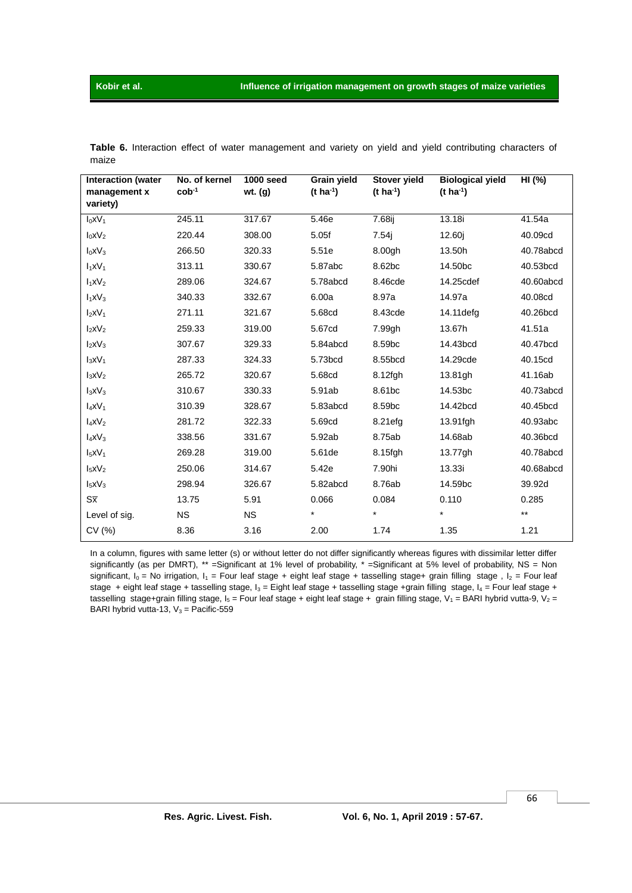| <b>Interaction (water</b><br>management x | No. of kernel<br>$\text{cob}^{-1}$ | <b>1000 seed</b><br>wt. (g) | Grain yield<br>(t ha <sup>-1</sup> ) | <b>Stover yield</b><br>$(t \text{ ha}^{-1})$ | <b>Biological yield</b><br>(t ha <sup>-1</sup> ) | HI (%)    |
|-------------------------------------------|------------------------------------|-----------------------------|--------------------------------------|----------------------------------------------|--------------------------------------------------|-----------|
| variety)                                  |                                    |                             |                                      |                                              |                                                  |           |
| $I_0$ x $V_1$                             | 245.11                             | 317.67                      | 5.46e                                | 7.68ij                                       | 13.18i                                           | 41.54a    |
| $I_0$ x $V_2$                             | 220.44                             | 308.00                      | 5.05f                                | 7.54i                                        | 12.60i                                           | 40.09cd   |
| $I_0$ x $V_3$                             | 266.50                             | 320.33                      | 5.51e                                | 8.00gh                                       | 13.50h                                           | 40.78abcd |
| $I_1xV_1$                                 | 313.11                             | 330.67                      | 5.87abc                              | 8.62bc                                       | 14.50bc                                          | 40.53bcd  |
| $I_1xV_2$                                 | 289.06                             | 324.67                      | 5.78abcd                             | 8.46cde                                      | 14.25cdef                                        | 40.60abcd |
| $I_1xV_3$                                 | 340.33                             | 332.67                      | 6.00a                                | 8.97a                                        | 14.97a                                           | 40.08cd   |
| $I_2$ x $V_1$                             | 271.11                             | 321.67                      | 5.68cd                               | 8.43cde                                      | 14.11 defa                                       | 40.26bcd  |
| $I_2$ x $V_2$                             | 259.33                             | 319.00                      | 5.67cd                               | 7.99gh                                       | 13.67h                                           | 41.51a    |
| $I_2$ x $V_3$                             | 307.67                             | 329.33                      | 5.84abcd                             | 8.59bc                                       | 14.43bcd                                         | 40.47bcd  |
| $I_3$ x $V_1$                             | 287.33                             | 324.33                      | 5.73bcd                              | 8.55bcd                                      | 14.29cde                                         | 40.15cd   |
| $I_3$ x $V_2$                             | 265.72                             | 320.67                      | 5.68cd                               | 8.12fgh                                      | 13.81gh                                          | 41.16ab   |
| $I_3$ x $V_3$                             | 310.67                             | 330.33                      | 5.91ab                               | 8.61bc                                       | 14.53bc                                          | 40.73abcd |
| $I_4$ x $V_1$                             | 310.39                             | 328.67                      | 5.83abcd                             | 8.59bc                                       | 14.42bcd                                         | 40.45bcd  |
| $I_4$ x $V_2$                             | 281.72                             | 322.33                      | 5.69cd                               | 8.21efg                                      | 13.91fgh                                         | 40.93abc  |
| $I_4$ x $V_3$                             | 338.56                             | 331.67                      | 5.92ab                               | 8.75ab                                       | 14.68ab                                          | 40.36bcd  |
| $I_5$ x $V_1$                             | 269.28                             | 319.00                      | 5.61de                               | 8.15fgh                                      | 13.77gh                                          | 40.78abcd |
| $I_5$ x $V_2$                             | 250.06                             | 314.67                      | 5.42e                                | 7.90hi                                       | 13.33i                                           | 40.68abcd |
| $I_5$ x $V_3$                             | 298.94                             | 326.67                      | 5.82abcd                             | 8.76ab                                       | 14.59bc                                          | 39.92d    |
| $S\overline{x}$                           | 13.75                              | 5.91                        | 0.066                                | 0.084                                        | 0.110                                            | 0.285     |
| Level of sig.                             | <b>NS</b>                          | <b>NS</b>                   | $\star$                              | $^\star$                                     | $\star$                                          | $***$     |
| CV (%)                                    | 8.36                               | 3.16                        | 2.00                                 | 1.74                                         | 1.35                                             | 1.21      |

**Table 6.** Interaction effect of water management and variety on yield and yield contributing characters of maize

In a column, figures with same letter (s) or without letter do not differ significantly whereas figures with dissimilar letter differ significantly (as per DMRT), \*\* =Significant at 1% level of probability, \* =Significant at 5% level of probability, NS = Non significant,  $I_0$  = No irrigation,  $I_1$  = Four leaf stage + eight leaf stage + tasselling stage+ grain filling stage,  $I_2$  = Four leaf stage + eight leaf stage + tasselling stage,  $I_3$  = Eight leaf stage + tasselling stage + grain filling stage,  $I_4$  = Four leaf stage + tasselling stage+grain filling stage,  $I_5$  = Four leaf stage + eight leaf stage + grain filling stage,  $V_1$  = BARI hybrid vutta-9,  $V_2$  = BARI hybrid vutta-13,  $V_3$  = Pacific-559